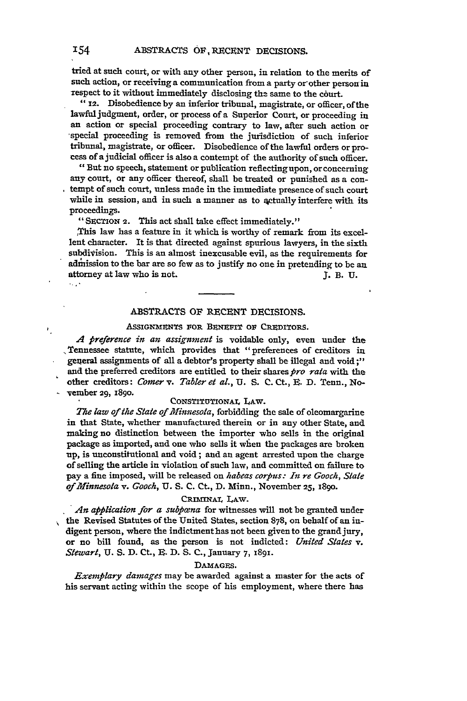tried at such court, or with any other person, in relation to the merits of such action, or receiving a communication from a party or other person in respect to it without immediately disclosing the same to the court.

**"12.** Disobedience **by** an inferior tribunal, magistrate, or officer, of the lawful judgment, order, or process of a Superior Court, or proceeding in an action or special proceeding contrary to law, after such action or -special proceeding is removed from the jurisdiction of such inferior tribunal, magistrate, or officer. Disobedience of the lawful orders or process of ajudicial officer is also a contempt of the authority of such officer.

"But no speech, statement or publication reflecting upon, or concerning **any** court, or any officer thereof, shall be treated or punished as a contempt of such court, unless made in the immediate presence of such court while in session, and in such a manner as to qctually interfere with its proceedings.

"SECTION 2. This act shall take effect immediately."

This law has a feature in it which is worthy of remark from its excellent character. It is that directed against spurious lawyers, in the sixth subdivision. This is an almost inexcusable evil, as the requirements for admnission to the bar are so few as to justify no one in pretending to be an attorney at law who is not. **J.** B. U.  $\sim 10$ 

# **ABSTRACTS** OF RECENT DECISIONS.

# ASSIGNMENTS FOR BENEFIT OF CREDITORS.

*A Preference in an assignment* is voidable only, even under the ,Tennessee statute, which provides that "preferences of creditors in general assignments of all a debtor's property shall be illegal and void ;" and the preferred creditors are entitled to their shares *pro rata* with the other creditors: *Comer v. Tabler et al.,* U. S. C. Ct., E. D. Tenn., No- $\sim$  vember 29, 1890.

# CONSTITUTIONAL LAW.

*The law of the State of Mfinnesota,* forbidding the sale of oleomargarine in that State, whether manufactured therein or in any other State, and making no distinction between the importer who sells in the original package as imported, and one who sells it when the packages are broken up, is unconstitutional and void; and an agent arrested upon the charge of selling the article in violation of such law, and committed on failure to pay a flue imposed, will be released on *habeas corpus: In re Gooch, State of Minnesota v. Gooch,* **U. S.** C. **Ct.,** D. Minn., November 25, 1890.

# CRIMINAL LAw.

An application for a subpana for witnesses will not be granted under the Revised Statutes of the United States, section **878,** on behalf of an indigent person, where the indictmenthas not been given to the grand jury, or no bill found, as the person is not indicted: *United States v. Stewart,* **U.** S. **D.** Ct., E. **D.** S. C., January **7,** 1891.

## DAmAGES.

*Exemplary damages* may be awarded against a master for the acts of his servant acting within the scope of his employment, where there has

١.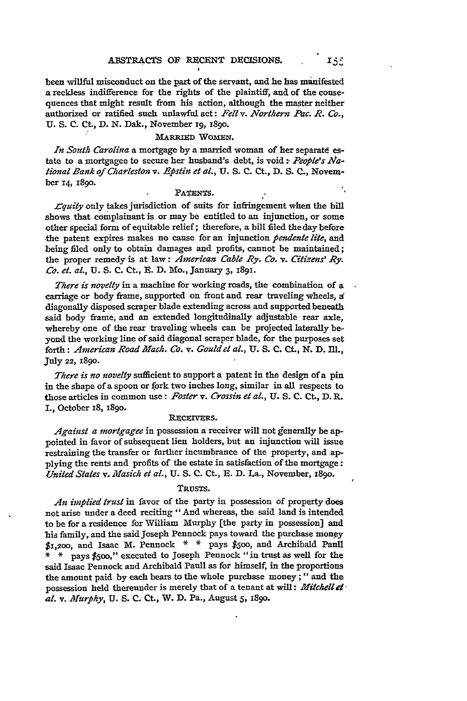been willful misconduct on the part of the servant, and he has manifested a reckless indifference for the rights of the plaintiff, and of the consequences that might result from his action, although the master neither authorized or ratified such unlawful act: *Fell v. Northern Pac. R. Co.,* U. S. C. Ct., D. N. Dak., November *19,* 189o.

## **MARRIED WOMEN.**

In South Carolina a mortgage by a married woman of her separate estate to a mortgagee to secure her husband's debt, is void :- *People's Aational Bank of Charleston v. Epstin et al.,* **U. S. C.** Ct., **D. S.** C., November **14,** 1890.

## PATENTS.

*.Cquity* only takes jurisdiction of suits for infringement when the bill shows that complainant is or may be entitled to an injunction, or some other special form of equitable relief; therefore, a bill filed the day before the patent expires makes no cause for an injunction *pendenle lite,* and being filed only to obtain damages and profits, cannot be maintained; the proper remedy is at law: *American Cable Ry. Co. v. Citizens' Ry. Co.* el. *al., U.* **S. C.** Ct., E. **D.** Mo., January **3, i891.**

*There is novelty* in a machine for working roads, the combination of a carriage or body frame, supported on front and rear traveling wheels, a diagonally disposed scraper blade extending across and supported beneath said body frame, and an extended longitudinally adjustable rear axle, whereby one of the rear traveling wheels can be projected laterally beyond the working line of said diagonal scraper blade, for the purposes set forth: *American Road Mach. Co. v. Gouldet al.,* **U. S. C.** Ct., **N. D. Ill.,** July 22, **1890.**

*There is no novelty* sufficient to support a patent in the design of a pin in the shape of a spoon or fork two inches long, similar in all respects to those articles in common use: *Foster v. Crossin et al.,* **U. S. C. CL, D.** R. I., October x8, **189o.**

#### **RECEIVERS.**

*Algainst a mortgagee* in possession a receiver will not generally be appointed in favor of subsequent lien holders, but an injunction will issue restraining the transfer or further incumbrance of the property, and applying the rents and profits of the estate in satisfaction of the mortgage: *United States v. Masich et al.,* **U.** S. C. Ct., **R.** D. La., November, i89o .

## TRUSTS.

*An implied trust* in favor of the party in possession of property does not arise under a deed reciting "And whereas, the said land is intended to be for a residence for William Murphy [the party in possession] and his family, and the said Joseph Pennock pays toward the purchase mony \$i,2aoo, and Isaac m. Pennock **\* \*** pays **\$500,** and Archibald Paull **\* \*** pays **\$5oo,"'** executed to Joseph Pennock "in trust as well for the said Isaac Pennock and Archibald Paull as for himself, in the proportions the amount paid by each bears to the whole purchase money;" and the possession held thereunder is merely that of a tenant at will: *Mitchell 4 al. v. Murphy,* **U.** S. C. Ct., W. **D.** Pa., August 5, i89o.